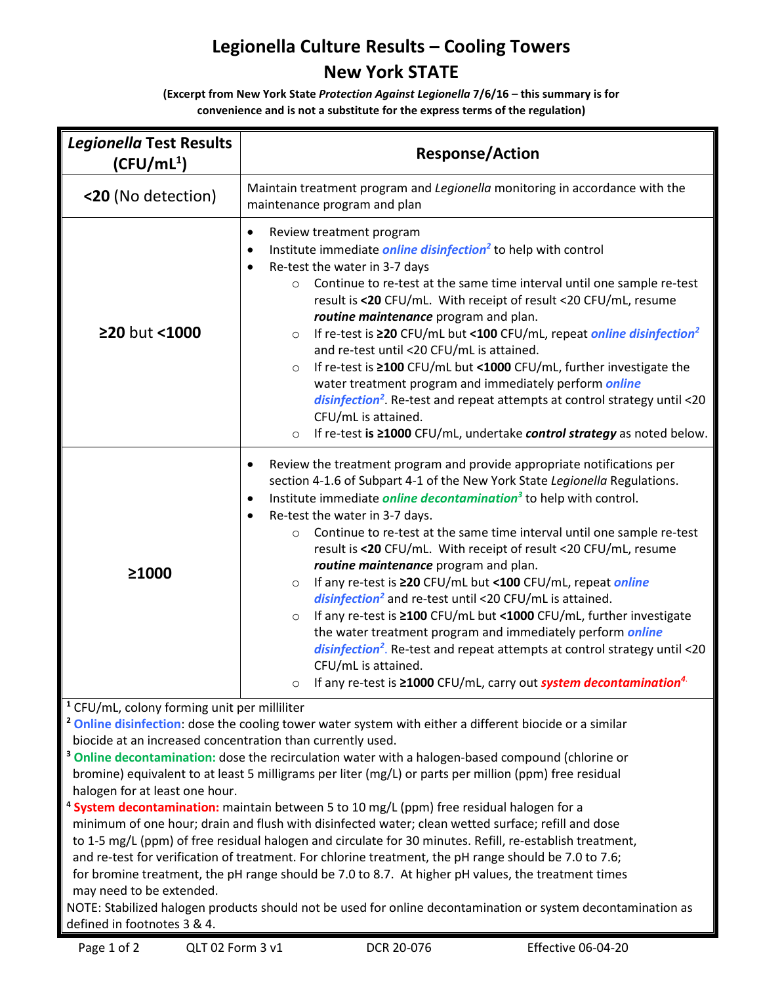## **Legionella Culture Results – Cooling Towers**

## **New York STATE**

**(Excerpt from New York State** *Protection Against Legionella* **7/6/16 – this summary is for convenience and is not a substitute for the express terms of the regulation)**

| <b>Legionella Test Results</b><br>(CFU/mL <sup>1</sup> )                                                                                                                                                           | <b>Response/Action</b>                                                                                                                                                                                                                                                                                                                                                                                                                                                                                                                                                                                                                                                                                                                                                                                                                                                                                                                                                                                                               |
|--------------------------------------------------------------------------------------------------------------------------------------------------------------------------------------------------------------------|--------------------------------------------------------------------------------------------------------------------------------------------------------------------------------------------------------------------------------------------------------------------------------------------------------------------------------------------------------------------------------------------------------------------------------------------------------------------------------------------------------------------------------------------------------------------------------------------------------------------------------------------------------------------------------------------------------------------------------------------------------------------------------------------------------------------------------------------------------------------------------------------------------------------------------------------------------------------------------------------------------------------------------------|
| <20 (No detection)                                                                                                                                                                                                 | Maintain treatment program and Legionella monitoring in accordance with the<br>maintenance program and plan                                                                                                                                                                                                                                                                                                                                                                                                                                                                                                                                                                                                                                                                                                                                                                                                                                                                                                                          |
| ≥20 but <1000                                                                                                                                                                                                      | Review treatment program<br>$\bullet$<br>Institute immediate <i>online disinfection</i> <sup>2</sup> to help with control<br>$\bullet$<br>Re-test the water in 3-7 days<br>$\bullet$<br>Continue to re-test at the same time interval until one sample re-test<br>$\circ$<br>result is <20 CFU/mL. With receipt of result <20 CFU/mL, resume<br>routine maintenance program and plan.<br>If re-test is $\geq$ 20 CFU/mL but <100 CFU/mL, repeat online disinfection <sup>2</sup><br>$\circ$<br>and re-test until <20 CFU/mL is attained.<br>If re-test is ≥100 CFU/mL but <1000 CFU/mL, further investigate the<br>$\circ$<br>water treatment program and immediately perform <i>online</i><br>disinfection <sup>2</sup> . Re-test and repeat attempts at control strategy until <20<br>CFU/mL is attained.<br>If re-test is $\geq$ 1000 CFU/mL, undertake control strategy as noted below.<br>$\circ$                                                                                                                               |
| ≥1000                                                                                                                                                                                                              | Review the treatment program and provide appropriate notifications per<br>$\bullet$<br>section 4-1.6 of Subpart 4-1 of the New York State Legionella Regulations.<br>Institute immediate <i>online decontamination</i> <sup>3</sup> to help with control.<br>$\bullet$<br>Re-test the water in 3-7 days.<br>$\bullet$<br>Continue to re-test at the same time interval until one sample re-test<br>$\circ$<br>result is <20 CFU/mL. With receipt of result <20 CFU/mL, resume<br>routine maintenance program and plan.<br>If any re-test is ≥20 CFU/mL but <100 CFU/mL, repeat online<br>$\circ$<br>disinfection <sup>2</sup> and re-test until <20 CFU/mL is attained.<br>If any re-test is ≥100 CFU/mL but <1000 CFU/mL, further investigate<br>$\circ$<br>the water treatment program and immediately perform online<br>disinfection <sup>2</sup> . Re-test and repeat attempts at control strategy until <20<br>CFU/mL is attained.<br>If any re-test is ≥1000 CFU/mL, carry out system decontamination <sup>4.</sup><br>$\circ$ |
| <sup>1</sup> CFU/mL, colony forming unit per milliliter<br>biocide at an increased concentration than currently used.<br>halogen for at least one hour.<br>may need to be extended.<br>defined in footnotes 3 & 4. | <sup>2</sup> Online disinfection: dose the cooling tower water system with either a different biocide or a similar<br><sup>3</sup> Online decontamination: dose the recirculation water with a halogen-based compound (chlorine or<br>bromine) equivalent to at least 5 milligrams per liter (mg/L) or parts per million (ppm) free residual<br><sup>4</sup> System decontamination: maintain between 5 to 10 mg/L (ppm) free residual halogen for a<br>minimum of one hour; drain and flush with disinfected water; clean wetted surface; refill and dose<br>to 1-5 mg/L (ppm) of free residual halogen and circulate for 30 minutes. Refill, re-establish treatment,<br>and re-test for verification of treatment. For chlorine treatment, the pH range should be 7.0 to 7.6;<br>for bromine treatment, the pH range should be 7.0 to 8.7. At higher pH values, the treatment times<br>NOTE: Stabilized halogen products should not be used for online decontamination or system decontamination as                                |